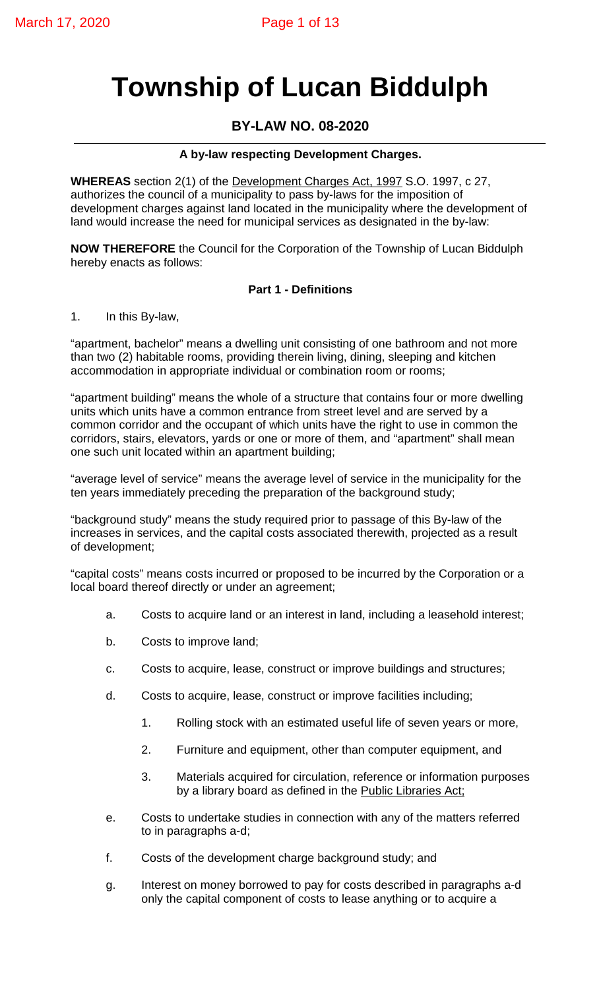# **Township of Lucan Biddulph**

# **BY-LAW NO. 08-2020**

### **A by-law respecting Development Charges.**

**WHEREAS** section 2(1) of the Development Charges Act, 1997 S.O. 1997, c 27, authorizes the council of a municipality to pass by-laws for the imposition of development charges against land located in the municipality where the development of land would increase the need for municipal services as designated in the by-law:

**NOW THEREFORE** the Council for the Corporation of the Township of Lucan Biddulph hereby enacts as follows:

#### **Part 1 - Definitions**

1. In this By-law,

"apartment, bachelor" means a dwelling unit consisting of one bathroom and not more than two (2) habitable rooms, providing therein living, dining, sleeping and kitchen accommodation in appropriate individual or combination room or rooms;

"apartment building" means the whole of a structure that contains four or more dwelling units which units have a common entrance from street level and are served by a common corridor and the occupant of which units have the right to use in common the corridors, stairs, elevators, yards or one or more of them, and "apartment" shall mean one such unit located within an apartment building;

"average level of service" means the average level of service in the municipality for the ten years immediately preceding the preparation of the background study;

"background study" means the study required prior to passage of this By-law of the increases in services, and the capital costs associated therewith, projected as a result of development;

"capital costs" means costs incurred or proposed to be incurred by the Corporation or a local board thereof directly or under an agreement;

- a. Costs to acquire land or an interest in land, including a leasehold interest;
- b. Costs to improve land;
- c. Costs to acquire, lease, construct or improve buildings and structures;
- d. Costs to acquire, lease, construct or improve facilities including;
	- 1. Rolling stock with an estimated useful life of seven years or more,
	- 2. Furniture and equipment, other than computer equipment, and
	- 3. Materials acquired for circulation, reference or information purposes by a library board as defined in the Public Libraries Act;
- e. Costs to undertake studies in connection with any of the matters referred to in paragraphs a-d;
- f. Costs of the development charge background study; and
- g. Interest on money borrowed to pay for costs described in paragraphs a-d only the capital component of costs to lease anything or to acquire a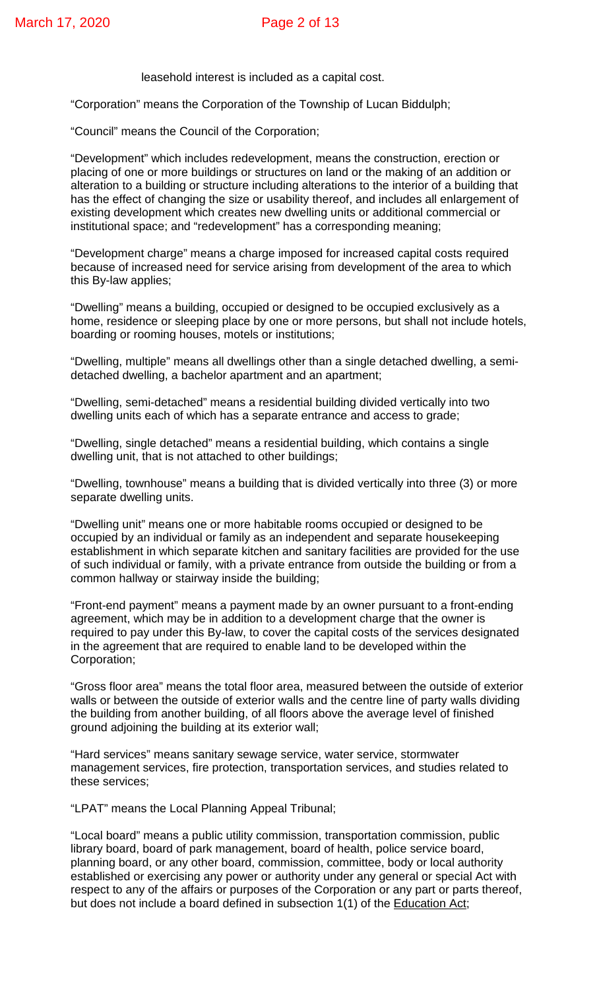leasehold interest is included as a capital cost.

"Corporation" means the Corporation of the Township of Lucan Biddulph;

"Council" means the Council of the Corporation;

"Development" which includes redevelopment, means the construction, erection or placing of one or more buildings or structures on land or the making of an addition or alteration to a building or structure including alterations to the interior of a building that has the effect of changing the size or usability thereof, and includes all enlargement of existing development which creates new dwelling units or additional commercial or institutional space; and "redevelopment" has a corresponding meaning;

"Development charge" means a charge imposed for increased capital costs required because of increased need for service arising from development of the area to which this By-law applies;

"Dwelling" means a building, occupied or designed to be occupied exclusively as a home, residence or sleeping place by one or more persons, but shall not include hotels, boarding or rooming houses, motels or institutions;

"Dwelling, multiple" means all dwellings other than a single detached dwelling, a semidetached dwelling, a bachelor apartment and an apartment;

"Dwelling, semi-detached" means a residential building divided vertically into two dwelling units each of which has a separate entrance and access to grade;

"Dwelling, single detached" means a residential building, which contains a single dwelling unit, that is not attached to other buildings;

"Dwelling, townhouse" means a building that is divided vertically into three (3) or more separate dwelling units.

"Dwelling unit" means one or more habitable rooms occupied or designed to be occupied by an individual or family as an independent and separate housekeeping establishment in which separate kitchen and sanitary facilities are provided for the use of such individual or family, with a private entrance from outside the building or from a common hallway or stairway inside the building;

"Front-end payment" means a payment made by an owner pursuant to a front-ending agreement, which may be in addition to a development charge that the owner is required to pay under this By-law, to cover the capital costs of the services designated in the agreement that are required to enable land to be developed within the Corporation;

"Gross floor area" means the total floor area, measured between the outside of exterior walls or between the outside of exterior walls and the centre line of party walls dividing the building from another building, of all floors above the average level of finished ground adjoining the building at its exterior wall;

"Hard services" means sanitary sewage service, water service, stormwater management services, fire protection, transportation services, and studies related to these services;

"LPAT" means the Local Planning Appeal Tribunal;

"Local board" means a public utility commission, transportation commission, public library board, board of park management, board of health, police service board, planning board, or any other board, commission, committee, body or local authority established or exercising any power or authority under any general or special Act with respect to any of the affairs or purposes of the Corporation or any part or parts thereof, but does not include a board defined in subsection 1(1) of the Education Act;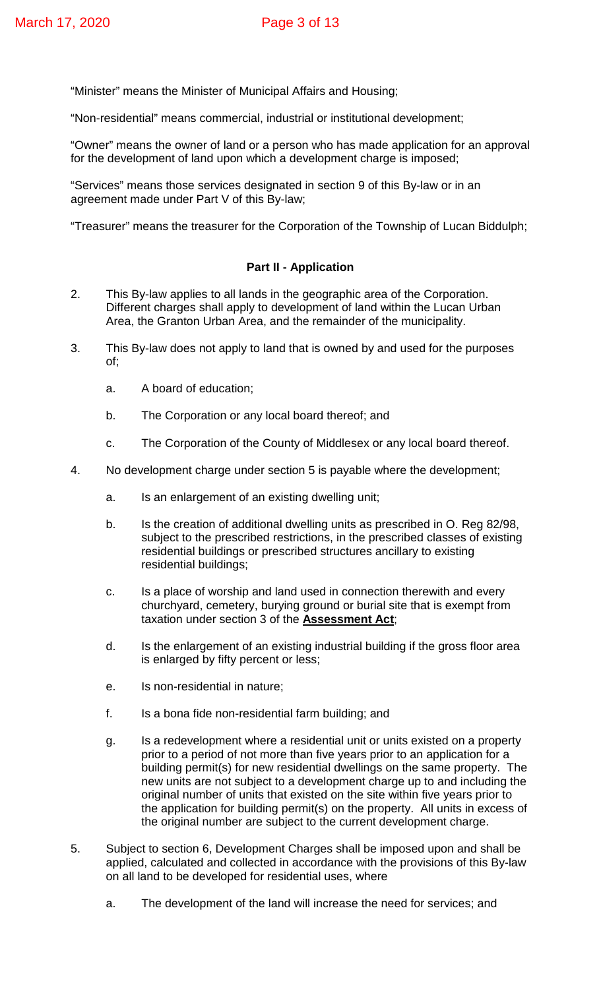"Minister" means the Minister of Municipal Affairs and Housing;

"Non-residential" means commercial, industrial or institutional development;

"Owner" means the owner of land or a person who has made application for an approval for the development of land upon which a development charge is imposed;

"Services" means those services designated in section 9 of this By-law or in an agreement made under Part V of this By-law;

"Treasurer" means the treasurer for the Corporation of the Township of Lucan Biddulph;

#### **Part II - Application**

- 2. This By-law applies to all lands in the geographic area of the Corporation. Different charges shall apply to development of land within the Lucan Urban Area, the Granton Urban Area, and the remainder of the municipality.
- 3. This By-law does not apply to land that is owned by and used for the purposes of;
	- a. A board of education;
	- b. The Corporation or any local board thereof; and
	- c. The Corporation of the County of Middlesex or any local board thereof.
- 4. No development charge under section 5 is payable where the development;
	- a. Is an enlargement of an existing dwelling unit;
	- b. Is the creation of additional dwelling units as prescribed in O. Reg 82/98, subject to the prescribed restrictions, in the prescribed classes of existing residential buildings or prescribed structures ancillary to existing residential buildings;
	- c. Is a place of worship and land used in connection therewith and every churchyard, cemetery, burying ground or burial site that is exempt from taxation under section 3 of the **Assessment Act**;
	- d. Is the enlargement of an existing industrial building if the gross floor area is enlarged by fifty percent or less;
	- e. Is non-residential in nature;
	- f. Is a bona fide non-residential farm building; and
	- g. Is a redevelopment where a residential unit or units existed on a property prior to a period of not more than five years prior to an application for a building permit(s) for new residential dwellings on the same property. The new units are not subject to a development charge up to and including the original number of units that existed on the site within five years prior to the application for building permit(s) on the property. All units in excess of the original number are subject to the current development charge.
- 5. Subject to section 6, Development Charges shall be imposed upon and shall be applied, calculated and collected in accordance with the provisions of this By-law on all land to be developed for residential uses, where
	- a. The development of the land will increase the need for services; and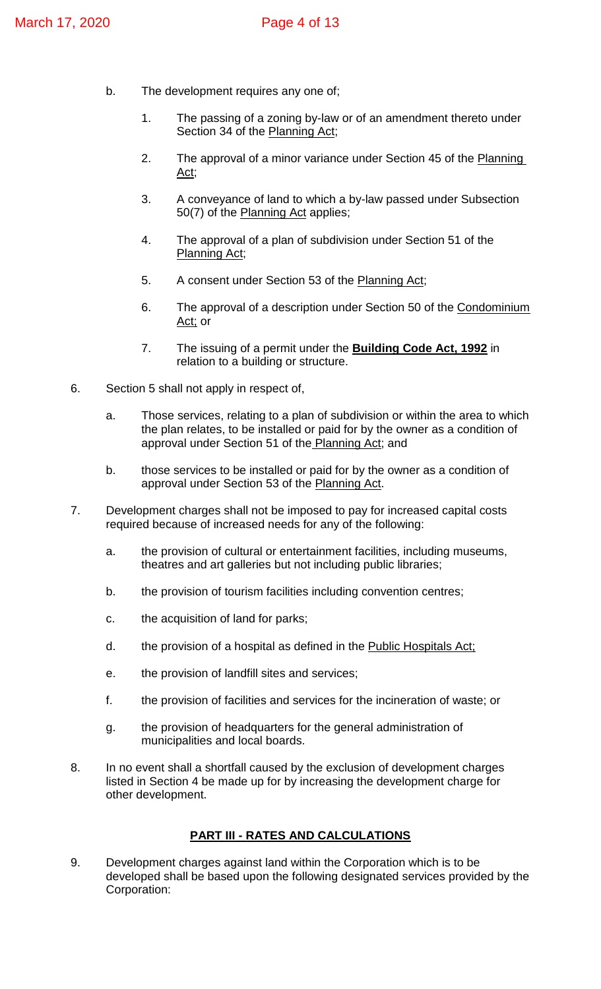- b. The development requires any one of;
	- 1. The passing of a zoning by-law or of an amendment thereto under Section 34 of the Planning Act;
	- 2. The approval of a minor variance under Section 45 of the Planning Act;
	- 3. A conveyance of land to which a by-law passed under Subsection 50(7) of the Planning Act applies;
	- 4. The approval of a plan of subdivision under Section 51 of the Planning Act;
	- 5. A consent under Section 53 of the Planning Act;
	- 6. The approval of a description under Section 50 of the Condominium Act; or
	- 7. The issuing of a permit under the **Building Code Act, 1992** in relation to a building or structure.
- 6. Section 5 shall not apply in respect of,
	- a. Those services, relating to a plan of subdivision or within the area to which the plan relates, to be installed or paid for by the owner as a condition of approval under Section 51 of the Planning Act; and
	- b. those services to be installed or paid for by the owner as a condition of approval under Section 53 of the Planning Act.
- 7. Development charges shall not be imposed to pay for increased capital costs required because of increased needs for any of the following:
	- a. the provision of cultural or entertainment facilities, including museums, theatres and art galleries but not including public libraries;
	- b. the provision of tourism facilities including convention centres;
	- c. the acquisition of land for parks;
	- d. the provision of a hospital as defined in the Public Hospitals Act;
	- e. the provision of landfill sites and services;
	- f. the provision of facilities and services for the incineration of waste; or
	- g. the provision of headquarters for the general administration of municipalities and local boards.
- 8. In no event shall a shortfall caused by the exclusion of development charges listed in Section 4 be made up for by increasing the development charge for other development.

# **PART III - RATES AND CALCULATIONS**

9. Development charges against land within the Corporation which is to be developed shall be based upon the following designated services provided by the Corporation: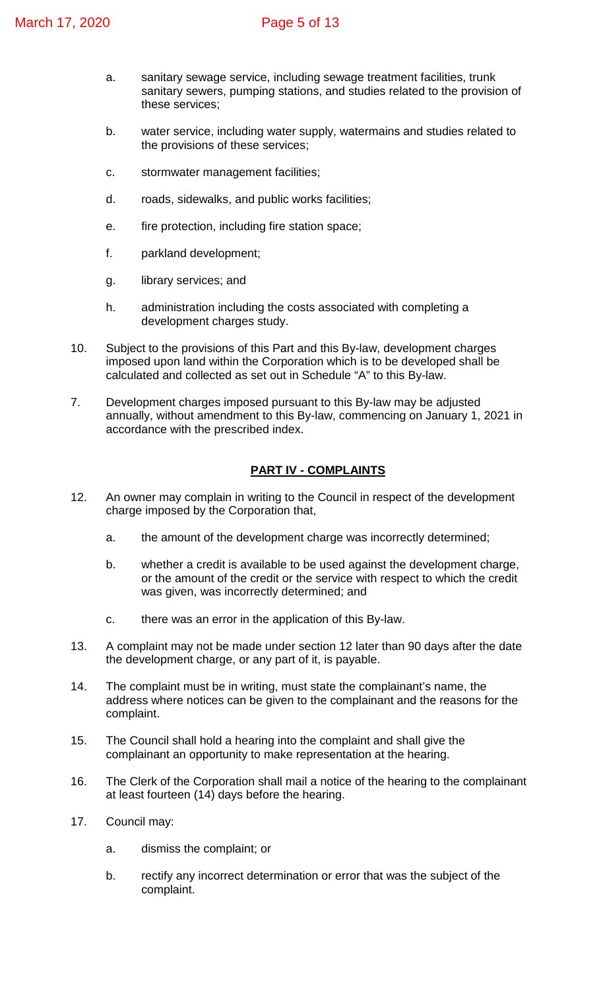- a. sanitary sewage service, including sewage treatment facilities, trunk sanitary sewers, pumping stations, and studies related to the provision of these services;
- b. water service, including water supply, watermains and studies related to the provisions of these services;
- c. stormwater management facilities;
- d. roads, sidewalks, and public works facilities;
- e. fire protection, including fire station space;
- f. parkland development;
- g. library services; and
- h. administration including the costs associated with completing a development charges study.
- 10. Subject to the provisions of this Part and this By-law, development charges imposed upon land within the Corporation which is to be developed shall be calculated and collected as set out in Schedule "A" to this By-law.
- 7. Development charges imposed pursuant to this By-law may be adjusted annually, without amendment to this By-law, commencing on January 1, 2021 in accordance with the prescribed index.

# **PART IV - COMPLAINTS**

- 12. An owner may complain in writing to the Council in respect of the development charge imposed by the Corporation that,
	- a. the amount of the development charge was incorrectly determined;
	- b. whether a credit is available to be used against the development charge, or the amount of the credit or the service with respect to which the credit was given, was incorrectly determined; and
	- c. there was an error in the application of this By-law.
- 13. A complaint may not be made under section 12 later than 90 days after the date the development charge, or any part of it, is payable.
- 14. The complaint must be in writing, must state the complainant's name, the address where notices can be given to the complainant and the reasons for the complaint.
- 15. The Council shall hold a hearing into the complaint and shall give the complainant an opportunity to make representation at the hearing.
- 16. The Clerk of the Corporation shall mail a notice of the hearing to the complainant at least fourteen (14) days before the hearing.
- 17. Council may:
	- a. dismiss the complaint; or
	- b. rectify any incorrect determination or error that was the subject of the complaint.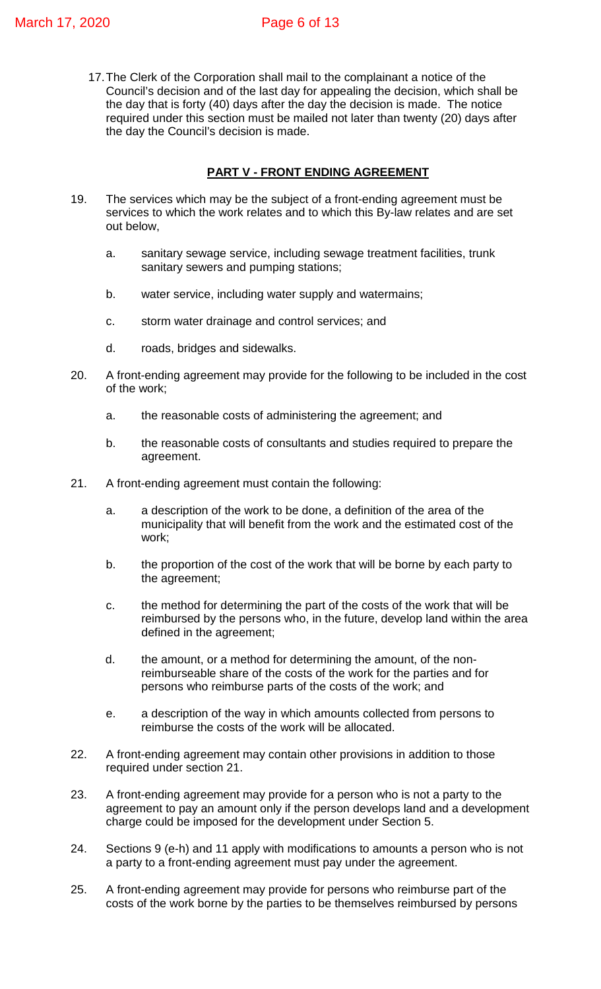17.The Clerk of the Corporation shall mail to the complainant a notice of the Council's decision and of the last day for appealing the decision, which shall be the day that is forty (40) days after the day the decision is made. The notice required under this section must be mailed not later than twenty (20) days after the day the Council's decision is made.

# **PART V - FRONT ENDING AGREEMENT**

- 19. The services which may be the subject of a front-ending agreement must be services to which the work relates and to which this By-law relates and are set out below,
	- a. sanitary sewage service, including sewage treatment facilities, trunk sanitary sewers and pumping stations;
	- b. water service, including water supply and watermains;
	- c. storm water drainage and control services; and
	- d. roads, bridges and sidewalks.
- 20. A front-ending agreement may provide for the following to be included in the cost of the work;
	- a. the reasonable costs of administering the agreement; and
	- b. the reasonable costs of consultants and studies required to prepare the agreement.
- 21. A front-ending agreement must contain the following:
	- a. a description of the work to be done, a definition of the area of the municipality that will benefit from the work and the estimated cost of the work;
	- b. the proportion of the cost of the work that will be borne by each party to the agreement;
	- c. the method for determining the part of the costs of the work that will be reimbursed by the persons who, in the future, develop land within the area defined in the agreement;
	- d. the amount, or a method for determining the amount, of the nonreimburseable share of the costs of the work for the parties and for persons who reimburse parts of the costs of the work; and
	- e. a description of the way in which amounts collected from persons to reimburse the costs of the work will be allocated.
- 22. A front-ending agreement may contain other provisions in addition to those required under section 21.
- 23. A front-ending agreement may provide for a person who is not a party to the agreement to pay an amount only if the person develops land and a development charge could be imposed for the development under Section 5.
- 24. Sections 9 (e-h) and 11 apply with modifications to amounts a person who is not a party to a front-ending agreement must pay under the agreement.
- 25. A front-ending agreement may provide for persons who reimburse part of the costs of the work borne by the parties to be themselves reimbursed by persons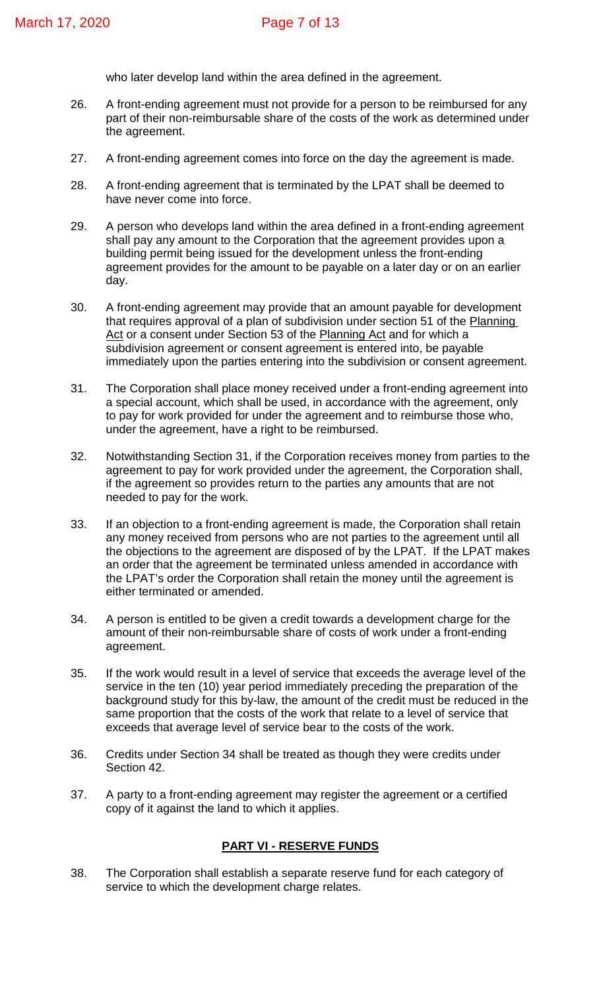who later develop land within the area defined in the agreement.

- 26. A front-ending agreement must not provide for a person to be reimbursed for any part of their non-reimbursable share of the costs of the work as determined under the agreement.
- 27. A front-ending agreement comes into force on the day the agreement is made.
- 28. A front-ending agreement that is terminated by the LPAT shall be deemed to have never come into force.
- 29. A person who develops land within the area defined in a front-ending agreement shall pay any amount to the Corporation that the agreement provides upon a building permit being issued for the development unless the front-ending agreement provides for the amount to be payable on a later day or on an earlier day.
- 30. A front-ending agreement may provide that an amount payable for development that requires approval of a plan of subdivision under section 51 of the Planning Act or a consent under Section 53 of the Planning Act and for which a subdivision agreement or consent agreement is entered into, be payable immediately upon the parties entering into the subdivision or consent agreement.
- 31. The Corporation shall place money received under a front-ending agreement into a special account, which shall be used, in accordance with the agreement, only to pay for work provided for under the agreement and to reimburse those who, under the agreement, have a right to be reimbursed.
- 32. Notwithstanding Section 31, if the Corporation receives money from parties to the agreement to pay for work provided under the agreement, the Corporation shall, if the agreement so provides return to the parties any amounts that are not needed to pay for the work.
- 33. If an objection to a front-ending agreement is made, the Corporation shall retain any money received from persons who are not parties to the agreement until all the objections to the agreement are disposed of by the LPAT. If the LPAT makes an order that the agreement be terminated unless amended in accordance with the LPAT's order the Corporation shall retain the money until the agreement is either terminated or amended.
- 34. A person is entitled to be given a credit towards a development charge for the amount of their non-reimbursable share of costs of work under a front-ending agreement.
- 35. If the work would result in a level of service that exceeds the average level of the service in the ten (10) year period immediately preceding the preparation of the background study for this by-law, the amount of the credit must be reduced in the same proportion that the costs of the work that relate to a level of service that exceeds that average level of service bear to the costs of the work.
- 36. Credits under Section 34 shall be treated as though they were credits under Section 42.
- 37. A party to a front-ending agreement may register the agreement or a certified copy of it against the land to which it applies.

#### **PART VI - RESERVE FUNDS**

38. The Corporation shall establish a separate reserve fund for each category of service to which the development charge relates.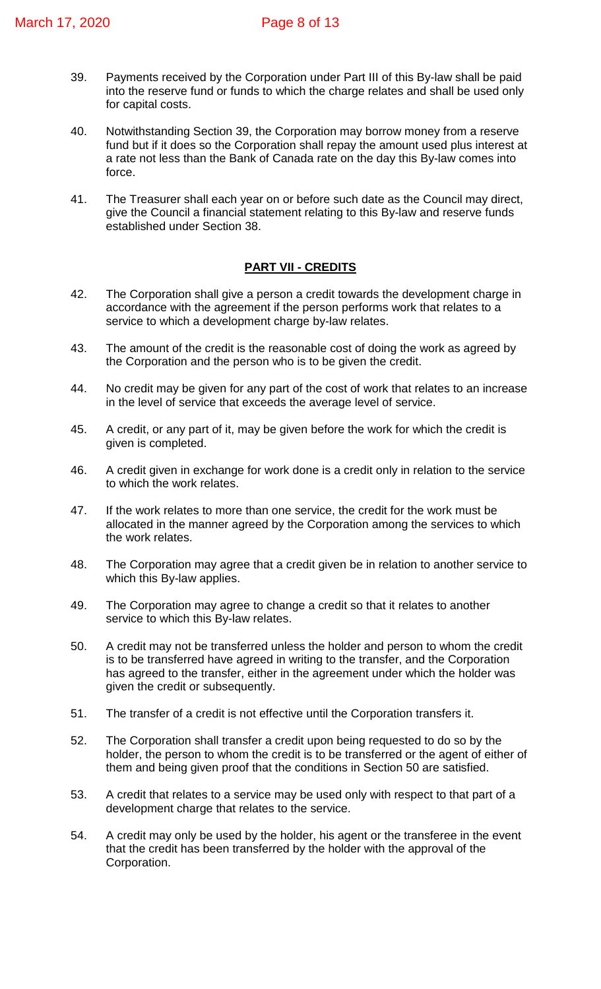- 39. Payments received by the Corporation under Part III of this By-law shall be paid into the reserve fund or funds to which the charge relates and shall be used only for capital costs.
- 40. Notwithstanding Section 39, the Corporation may borrow money from a reserve fund but if it does so the Corporation shall repay the amount used plus interest at a rate not less than the Bank of Canada rate on the day this By-law comes into force.
- 41. The Treasurer shall each year on or before such date as the Council may direct, give the Council a financial statement relating to this By-law and reserve funds established under Section 38.

# **PART VII - CREDITS**

- 42. The Corporation shall give a person a credit towards the development charge in accordance with the agreement if the person performs work that relates to a service to which a development charge by-law relates.
- 43. The amount of the credit is the reasonable cost of doing the work as agreed by the Corporation and the person who is to be given the credit.
- 44. No credit may be given for any part of the cost of work that relates to an increase in the level of service that exceeds the average level of service.
- 45. A credit, or any part of it, may be given before the work for which the credit is given is completed.
- 46. A credit given in exchange for work done is a credit only in relation to the service to which the work relates.
- 47. If the work relates to more than one service, the credit for the work must be allocated in the manner agreed by the Corporation among the services to which the work relates.
- 48. The Corporation may agree that a credit given be in relation to another service to which this By-law applies.
- 49. The Corporation may agree to change a credit so that it relates to another service to which this By-law relates.
- 50. A credit may not be transferred unless the holder and person to whom the credit is to be transferred have agreed in writing to the transfer, and the Corporation has agreed to the transfer, either in the agreement under which the holder was given the credit or subsequently.
- 51. The transfer of a credit is not effective until the Corporation transfers it.
- 52. The Corporation shall transfer a credit upon being requested to do so by the holder, the person to whom the credit is to be transferred or the agent of either of them and being given proof that the conditions in Section 50 are satisfied.
- 53. A credit that relates to a service may be used only with respect to that part of a development charge that relates to the service.
- 54. A credit may only be used by the holder, his agent or the transferee in the event that the credit has been transferred by the holder with the approval of the Corporation.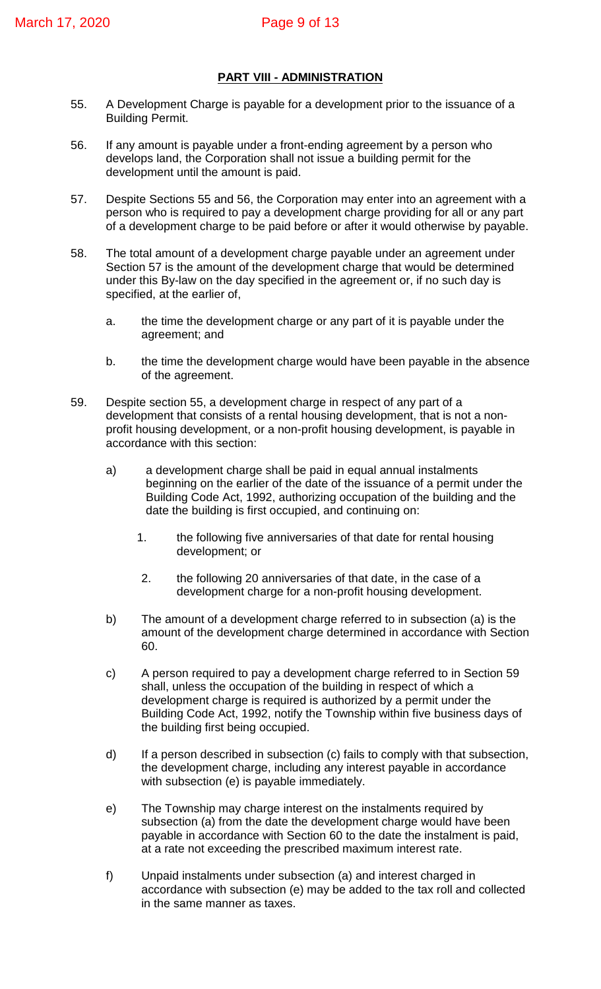#### **PART VIII - ADMINISTRATION**

- 55. A Development Charge is payable for a development prior to the issuance of a Building Permit.
- 56. If any amount is payable under a front-ending agreement by a person who develops land, the Corporation shall not issue a building permit for the development until the amount is paid.
- 57. Despite Sections 55 and 56, the Corporation may enter into an agreement with a person who is required to pay a development charge providing for all or any part of a development charge to be paid before or after it would otherwise by payable.
- 58. The total amount of a development charge payable under an agreement under Section 57 is the amount of the development charge that would be determined under this By-law on the day specified in the agreement or, if no such day is specified, at the earlier of,
	- a. the time the development charge or any part of it is payable under the agreement; and
	- b. the time the development charge would have been payable in the absence of the agreement.
- 59. Despite section 55, a development charge in respect of any part of a development that consists of a rental housing development, that is not a nonprofit housing development, or a non-profit housing development, is payable in accordance with this section:
	- a) a development charge shall be paid in equal annual instalments beginning on the earlier of the date of the issuance of a permit under the Building Code Act, 1992, authorizing occupation of the building and the date the building is first occupied, and continuing on:
		- 1. the following five anniversaries of that date for rental housing development; or
		- 2. the following 20 anniversaries of that date, in the case of a development charge for a non-profit housing development.
	- b) The amount of a development charge referred to in subsection (a) is the amount of the development charge determined in accordance with Section 60.
	- c) A person required to pay a development charge referred to in Section 59 shall, unless the occupation of the building in respect of which a development charge is required is authorized by a permit under the Building Code Act, 1992, notify the Township within five business days of the building first being occupied.
	- d) If a person described in subsection (c) fails to comply with that subsection, the development charge, including any interest payable in accordance with subsection (e) is payable immediately.
	- e) The Township may charge interest on the instalments required by subsection (a) from the date the development charge would have been payable in accordance with Section 60 to the date the instalment is paid, at a rate not exceeding the prescribed maximum interest rate.
	- f) Unpaid instalments under subsection (a) and interest charged in accordance with subsection (e) may be added to the tax roll and collected in the same manner as taxes.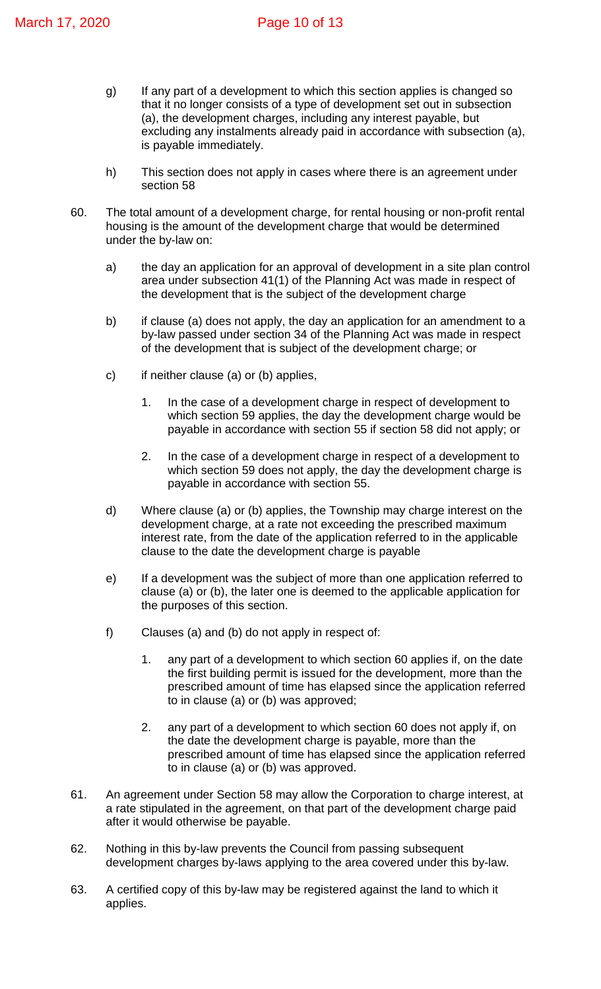- g) If any part of a development to which this section applies is changed so that it no longer consists of a type of development set out in subsection (a), the development charges, including any interest payable, but excluding any instalments already paid in accordance with subsection (a), is payable immediately.
- h) This section does not apply in cases where there is an agreement under section 58
- 60. The total amount of a development charge, for rental housing or non-profit rental housing is the amount of the development charge that would be determined under the by-law on:
	- a) the day an application for an approval of development in a site plan control area under subsection 41(1) of the Planning Act was made in respect of the development that is the subject of the development charge
	- b) if clause (a) does not apply, the day an application for an amendment to a by-law passed under section 34 of the Planning Act was made in respect of the development that is subject of the development charge; or
	- c) if neither clause (a) or (b) applies,
		- 1. In the case of a development charge in respect of development to which section 59 applies, the day the development charge would be payable in accordance with section 55 if section 58 did not apply; or
		- 2. In the case of a development charge in respect of a development to which section 59 does not apply, the day the development charge is payable in accordance with section 55.
	- d) Where clause (a) or (b) applies, the Township may charge interest on the development charge, at a rate not exceeding the prescribed maximum interest rate, from the date of the application referred to in the applicable clause to the date the development charge is payable
	- e) If a development was the subject of more than one application referred to clause (a) or (b), the later one is deemed to the applicable application for the purposes of this section.
	- f) Clauses (a) and (b) do not apply in respect of:
		- 1. any part of a development to which section 60 applies if, on the date the first building permit is issued for the development, more than the prescribed amount of time has elapsed since the application referred to in clause (a) or (b) was approved;
		- 2. any part of a development to which section 60 does not apply if, on the date the development charge is payable, more than the prescribed amount of time has elapsed since the application referred to in clause (a) or (b) was approved.
- 61. An agreement under Section 58 may allow the Corporation to charge interest, at a rate stipulated in the agreement, on that part of the development charge paid after it would otherwise be payable.
- 62. Nothing in this by-law prevents the Council from passing subsequent development charges by-laws applying to the area covered under this by-law.
- 63. A certified copy of this by-law may be registered against the land to which it applies.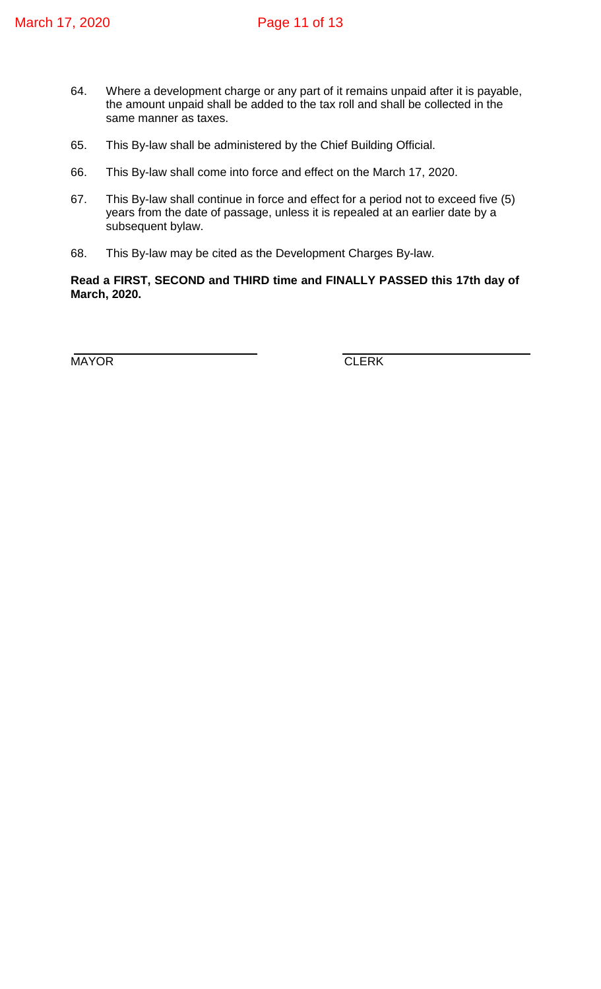- 64. Where a development charge or any part of it remains unpaid after it is payable, the amount unpaid shall be added to the tax roll and shall be collected in the same manner as taxes.
- 65. This By-law shall be administered by the Chief Building Official.
- 66. This By-law shall come into force and effect on the March 17, 2020.
- 67. This By-law shall continue in force and effect for a period not to exceed five (5) years from the date of passage, unless it is repealed at an earlier date by a subsequent bylaw.
- 68. This By-law may be cited as the Development Charges By-law.

**Read a FIRST, SECOND and THIRD time and FINALLY PASSED this 17th day of March, 2020.**

 $\overline{a}$ MAYOR **CLERK**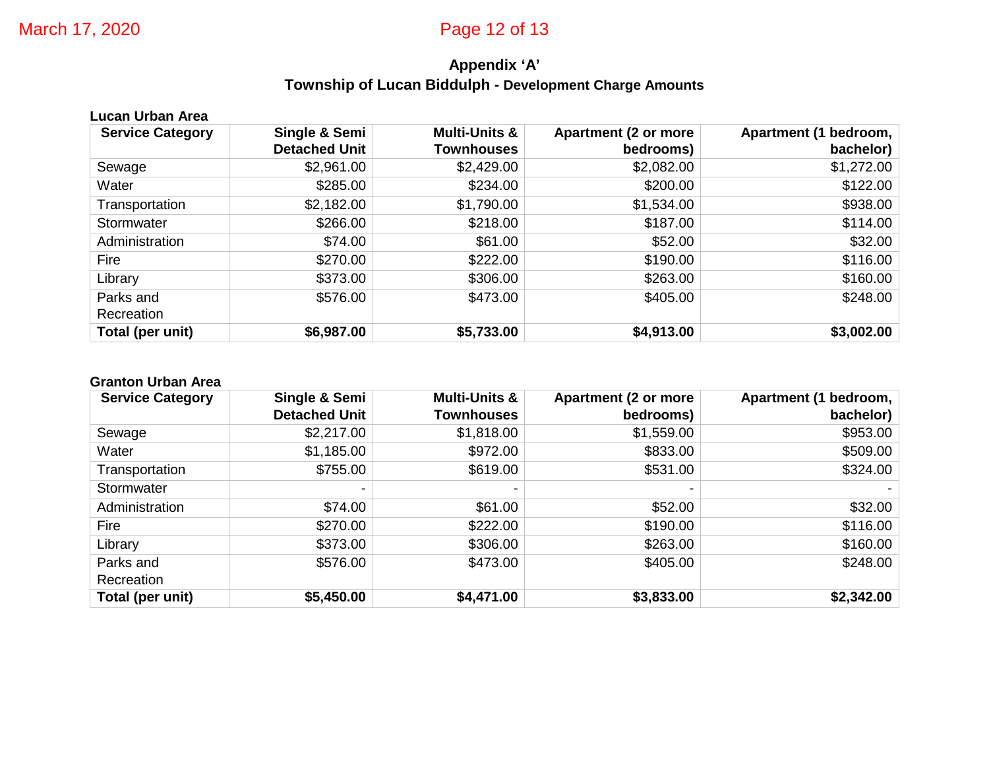# **Appendix 'A' Township of Lucan Biddulph - Development Charge Amounts**

| <b>Lucan Urban Area</b> |                      |                          |                             |                       |  |  |  |
|-------------------------|----------------------|--------------------------|-----------------------------|-----------------------|--|--|--|
| <b>Service Category</b> | Single & Semi        | <b>Multi-Units &amp;</b> | <b>Apartment (2 or more</b> | Apartment (1 bedroom, |  |  |  |
|                         | <b>Detached Unit</b> | <b>Townhouses</b>        | bedrooms)                   | bachelor)             |  |  |  |
| Sewage                  | \$2,961.00           | \$2,429.00               | \$2,082.00                  | \$1,272.00            |  |  |  |
| Water                   | \$285.00             | \$234.00                 | \$200.00                    | \$122.00              |  |  |  |
| Transportation          | \$2,182.00           | \$1,790.00               | \$1,534.00                  | \$938.00              |  |  |  |
| Stormwater              | \$266.00             | \$218.00                 | \$187.00                    | \$114.00              |  |  |  |
| Administration          | \$74.00              | \$61.00                  | \$52.00                     | \$32.00               |  |  |  |
| Fire                    | \$270.00             | \$222.00                 | \$190.00                    | \$116.00              |  |  |  |
| Library                 | \$373.00             | \$306.00                 | \$263.00                    | \$160.00              |  |  |  |
| Parks and               | \$576.00             | \$473.00                 | \$405.00                    | \$248.00              |  |  |  |
| Recreation              |                      |                          |                             |                       |  |  |  |
| Total (per unit)        | \$6,987.00           | \$5,733.00               | \$4,913.00                  | \$3,002.00            |  |  |  |

#### **Granton Urban Area**

| <b>Service Category</b> | Single & Semi        | <b>Multi-Units &amp;</b> | <b>Apartment (2 or more</b> | <b>Apartment (1)</b><br>bedroom, |
|-------------------------|----------------------|--------------------------|-----------------------------|----------------------------------|
|                         | <b>Detached Unit</b> | <b>Townhouses</b>        | bedrooms)                   | bachelor)                        |
| Sewage                  | \$2,217.00           | \$1,818.00               | \$1,559.00                  | \$953.00                         |
| Water                   | \$1,185.00           | \$972.00                 | \$833.00                    | \$509.00                         |
| Transportation          | \$755.00             | \$619.00                 | \$531.00                    | \$324.00                         |
| Stormwater              |                      | -                        |                             |                                  |
| Administration          | \$74.00              | \$61.00                  | \$52.00                     | \$32.00                          |
| Fire                    | \$270.00             | \$222.00                 | \$190.00                    | \$116.00                         |
| Library                 | \$373.00             | \$306.00                 | \$263.00                    | \$160.00                         |
| Parks and               | \$576.00             | \$473.00                 | \$405.00                    | \$248.00                         |
| Recreation              |                      |                          |                             |                                  |
| Total (per unit)        | \$5,450.00           | \$4,471.00               | \$3,833.00                  | \$2,342.00                       |